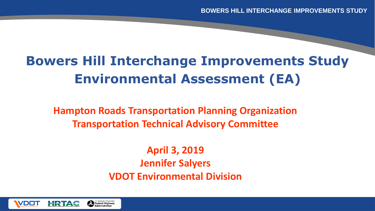# **Bowers Hill Interchange Improvements Study Environmental Assessment (EA)**

Vdot r

**Hampton Roads Transportation Planning Organization Transportation Technical Advisory Committee**

> **April 3, 2019 Jennifer Salyers VDOT Environmental Division**

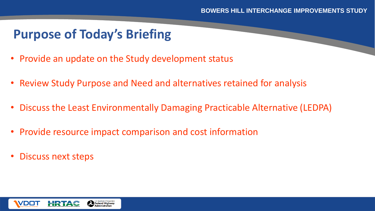# **Purpose of Today's Briefing**

- Provide an update on the Study development status
- Review Study Purpose and Need and alternatives retained for analysis
- Discuss the Least Environmentally Damaging Practicable Alternative (LEDPA)

- Provide resource impact comparison and cost information
- Discuss next steps

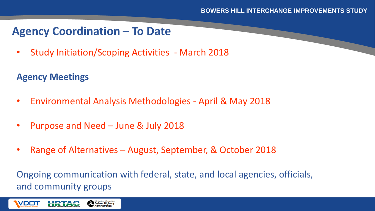## **Agency Coordination – To Date**

• Study Initiation/Scoping Activities - March 2018

#### **Agency Meetings**

HRTAC

**VDOT** 

- Environmental Analysis Methodologies April & May 2018
- Purpose and Need June & July 2018

Federal Highway

• Range of Alternatives – August, September, & October 2018

Ongoing communication with federal, state, and local agencies, officials, and community groups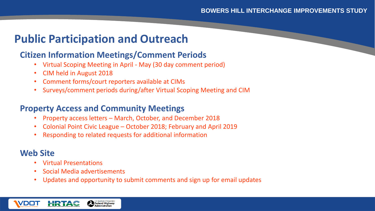## **Public Participation and Outreach**

#### **Citizen Information Meetings/Comment Periods**

- Virtual Scoping Meeting in April May (30 day comment period)
- CIM held in August 2018
- Comment forms/court reporters available at CIMs
- Surveys/comment periods during/after Virtual Scoping Meeting and CIM

Vdot r

#### **Property Access and Community Meetings**

- Property access letters March, October, and December 2018
- Colonial Point Civic League October 2018; February and April 2019
- Responding to related requests for additional information

#### **Web Site**

- Virtual Presentations
- Social Media advertisements
- Updates and opportunity to submit comments and sign up for email updates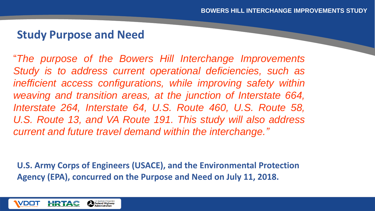#### **Study Purpose and Need**

"*The purpose of the Bowers Hill Interchange Improvements Study is to address current operational deficiencies, such as inefficient access configurations, while improving safety within weaving and transition areas, at the junction of Interstate 664, Interstate 264, Interstate 64, U.S. Route 460, U.S. Route 58, U.S. Route 13, and VA Route 191. This study will also address current and future travel demand within the interchange."*

Vdot r

**U.S. Army Corps of Engineers (USACE), and the Environmental Protection Agency (EPA), concurred on the Purpose and Need on July 11, 2018.**

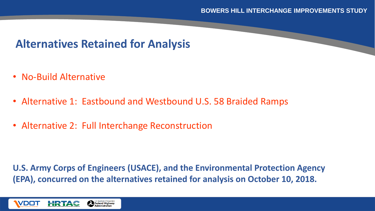## **Alternatives Retained for Analysis**

- No-Build Alternative
- Alternative 1: Eastbound and Westbound U.S. 58 Braided Ramps
- Alternative 2: Full Interchange Reconstruction

**U.S. Army Corps of Engineers (USACE), and the Environmental Protection Agency (EPA), concurred on the alternatives retained for analysis on October 10, 2018.**

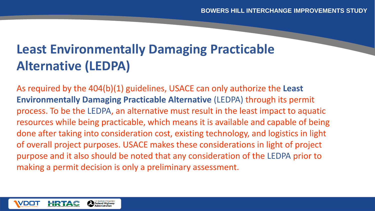# **Least Environmentally Damaging Practicable Alternative (LEDPA)**

As required by the 404(b)(1) guidelines, USACE can only authorize the **Least Environmentally Damaging Practicable Alternative** (LEDPA) through its permit process. To be the LEDPA, an alternative must result in the least impact to aquatic resources while being practicable, which means it is available and capable of being done after taking into consideration cost, existing technology, and logistics in light of overall project purposes. USACE makes these considerations in light of project purpose and it also should be noted that any consideration of the LEDPA prior to making a permit decision is only a preliminary assessment.

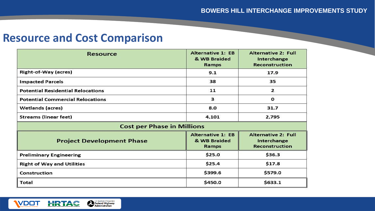### **Resource and Cost Comparison**

U.S. Department of Transportation

VDOT

HRTAC

| Resource                                 | <b>Alternative 1: EB</b><br>& WB Braided<br>Ramps | <b>Alternative 2: Full</b><br>Interchange<br><b>Reconstruction</b> |
|------------------------------------------|---------------------------------------------------|--------------------------------------------------------------------|
| <b>Right-of-Way (acres)</b>              | 9.1                                               | 17.9                                                               |
| <b>Impacted Parcels</b>                  | 38                                                | 35                                                                 |
| <b>Potential Residential Relocations</b> | 11                                                | $\mathbf{z}$                                                       |
| <b>Potential Commercial Relocations</b>  | 3                                                 | О                                                                  |
| Wetlands (acres)                         | 8.0                                               | 31.7                                                               |
| <b>Streams (linear feet)</b>             | 4,101                                             | 2,795                                                              |
| <b>Cost per Phase in Millions</b>        |                                                   |                                                                    |
| <b>Project Development Phase</b>         | <b>Alternative 1: EB</b><br>& WB Braided<br>Ramps | <b>Alternative 2: Full</b><br>Interchange<br><b>Reconstruction</b> |
| <b>Preliminary Engineering</b>           | \$25.0                                            | \$36.3                                                             |
| <b>Right of Way and Utilities</b>        | \$25.4                                            | \$17.8                                                             |
| Construction                             | \$399.6                                           | \$579.0                                                            |
| Total                                    | \$450.0                                           | \$633.1                                                            |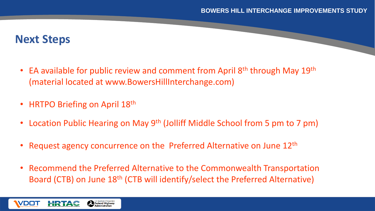### **Next Steps**

**VDOT** 

HRTAC

Federal Highway

EA available for public review and comment from April 8<sup>th</sup> through May 19<sup>th</sup> (material located at www.BowersHillInterchange.com)

- HRTPO Briefing on April 18<sup>th</sup>
- Location Public Hearing on May 9<sup>th</sup> (Jolliff Middle School from 5 pm to 7 pm)
- Request agency concurrence on the Preferred Alternative on June 12<sup>th</sup>
- Recommend the Preferred Alternative to the Commonwealth Transportation Board (CTB) on June 18<sup>th</sup> (CTB will identify/select the Preferred Alternative)